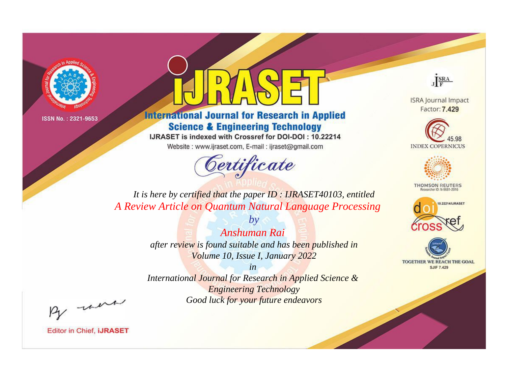

## **International Journal for Research in Applied Science & Engineering Technology**

IJRASET is indexed with Crossref for DOI-DOI: 10.22214

Website: www.ijraset.com, E-mail: ijraset@gmail.com

## Certificate



**ISRA Journal Impact** Factor: 7.429





**THOMSON REUTERS** 



TOGETHER WE REACH THE GOAL **SJIF 7.429** 

It is here by certified that the paper ID: IJRASET40103, entitled A Review Article on Quantum Natural Language Processing

> Anshuman Rai after review is found suitable and has been published in Volume 10, Issue I, January 2022

 $b\nu$ 

 $in$ International Journal for Research in Applied Science & **Engineering Technology** Good luck for your future endeavors

By morn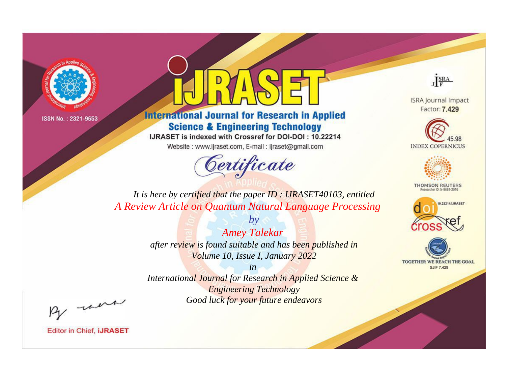

## **International Journal for Research in Applied Science & Engineering Technology**

IJRASET is indexed with Crossref for DOI-DOI: 10.22214

Website: www.ijraset.com, E-mail: ijraset@gmail.com

# Certificate



**ISRA Journal Impact** Factor: 7.429





**THOMSON REUTERS** 



TOGETHER WE REACH THE GOAL **SJIF 7.429** 

It is here by certified that the paper ID: IJRASET40103, entitled A Review Article on Quantum Natural Language Processing

> **Amey Talekar** after review is found suitable and has been published in Volume 10, Issue I, January 2022

 $by$ 

 $in$ International Journal for Research in Applied Science & **Engineering Technology** Good luck for your future endeavors

By morn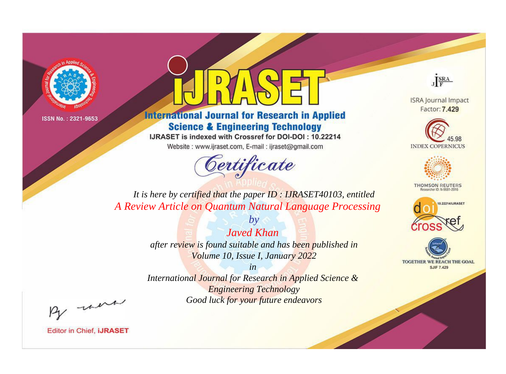

## **International Journal for Research in Applied Science & Engineering Technology**

IJRASET is indexed with Crossref for DOI-DOI: 10.22214

Website: www.ijraset.com, E-mail: ijraset@gmail.com

## Certificate



**ISRA Journal Impact** Factor: 7.429





**THOMSON REUTERS** 



TOGETHER WE REACH THE GOAL **SJIF 7.429** 

*It is here by certified that the paper ID : IJRASET40103, entitled A Review Article on Quantum Natural Language Processing*

> *Javed Khan after review is found suitable and has been published in Volume 10, Issue I, January 2022*

*by*

*in* 

*International Journal for Research in Applied Science & Engineering Technology Good luck for your future endeavors*

By morn